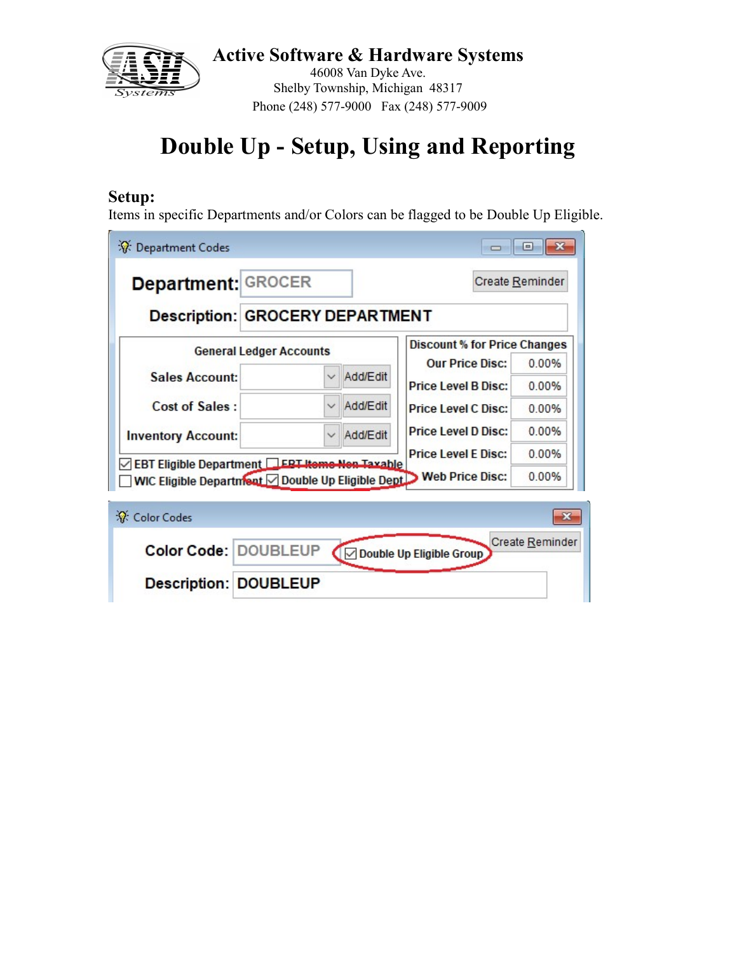

46008 Van Dyke Ave. Shelby Township, Michigan 48317 Phone (248) 577-9000 Fax (248) 577-9009

# Double Up - Setup, Using and Reporting

#### Setup:

Items in specific Departments and/or Colors can be flagged to be Double Up Eligible.

| ※ Department Codes                                                                                                   |                          |                                     | E               |
|----------------------------------------------------------------------------------------------------------------------|--------------------------|-------------------------------------|-----------------|
| Department: GROCER                                                                                                   |                          |                                     | Create Reminder |
| Description: GROCERY DEPARTMENT                                                                                      |                          |                                     |                 |
| <b>General Ledger Accounts</b>                                                                                       |                          | <b>Discount % for Price Changes</b> |                 |
|                                                                                                                      |                          | <b>Our Price Disc:</b>              | 0.00%           |
| <b>Sales Account:</b>                                                                                                | Add/Edit<br>$\checkmark$ | <b>Price Level B Disc:</b>          | 0.00%           |
| <b>Cost of Sales:</b>                                                                                                | Add/Edit                 | <b>Price Level C Disc:</b>          | 0.00%           |
| <b>Inventory Account:</b>                                                                                            | Add/Edit<br>$\checkmark$ | <b>Price Level D Disc:</b>          | 0.00%           |
|                                                                                                                      |                          | <b>Price Level E Disc:</b>          | 0.00%           |
| EBT Eligible Department ERT Items Nen Taxable<br>WIC Eligible Department   Double Up Eligible Dept   Web Price Disc: |                          |                                     | 0.00%           |
| ☆ Color Codes                                                                                                        |                          |                                     |                 |
| Color Code: DOUBLEUP                                                                                                 |                          | ○ Double Up Eligible Group          | Create Reminder |

Description: DOUBLEUP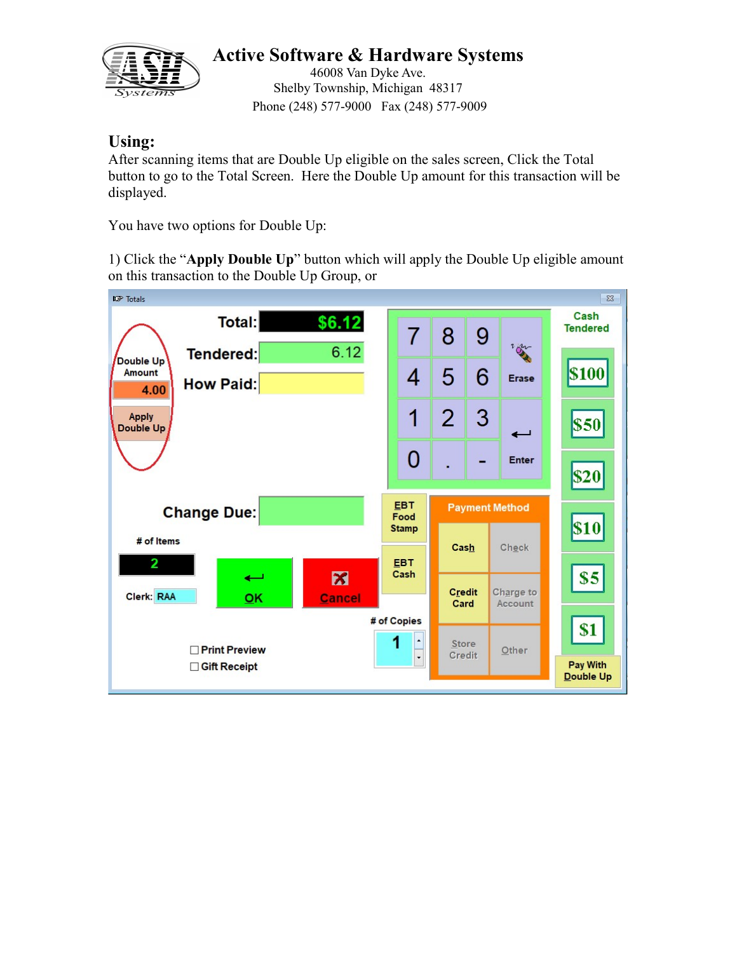

46008 Van Dyke Ave. Shelby Township, Michigan 48317 Phone (248) 577-9000 Fax (248) 577-9009

#### Using:

After scanning items that are Double Up eligible on the sales screen, Click the Total button to go to the Total Screen. Here the Double Up amount for this transaction will be displayed.

You have two options for Double Up:

1) Click the "Apply Double Up" button which will apply the Double Up eligible amount on this transaction to the Double Up Group, or

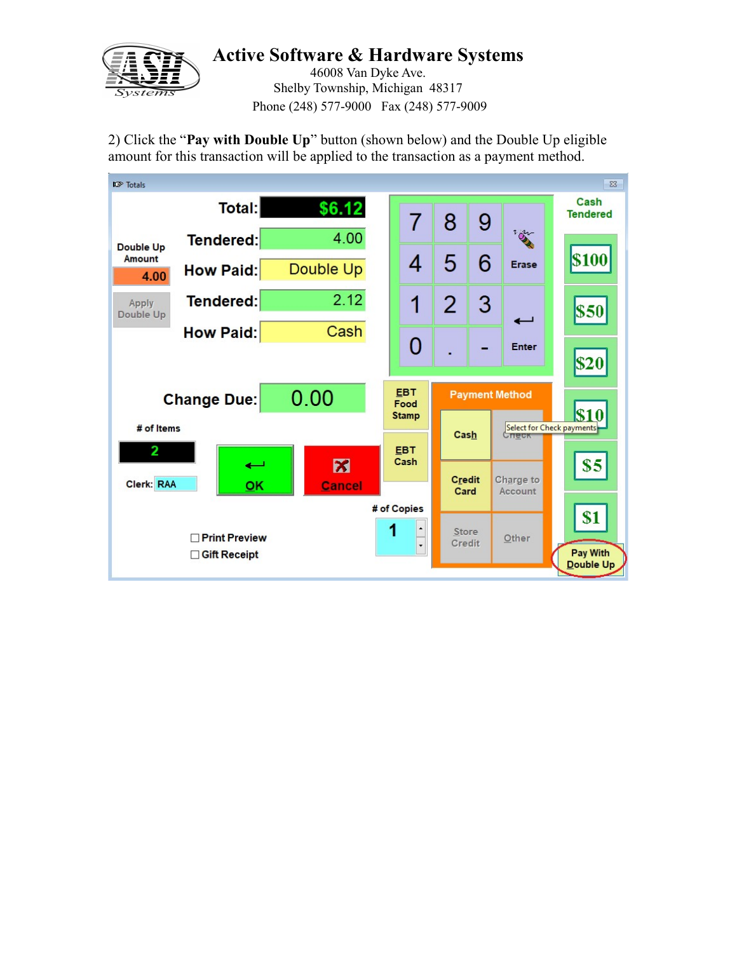

46008 Van Dyke Ave. Shelby Township, Michigan 48317 Phone (248) 577-9000 Fax (248) 577-9009

2) Click the "Pay with Double Up" button (shown below) and the Double Up eligible amount for this transaction will be applied to the transaction as a payment method.

| <b>ICP</b> Totals  |                                                       |                        |                                              |                       |              |                       | $\Sigma$                                 |
|--------------------|-------------------------------------------------------|------------------------|----------------------------------------------|-----------------------|--------------|-----------------------|------------------------------------------|
|                    | <b>Total:</b>                                         | \$6.12                 | $\overline{7}$                               | 8                     | 9            |                       | Cash<br><b>Tendered</b>                  |
| <b>Double Up</b>   | Tendered:                                             | 4.00                   |                                              |                       |              | $\sum_{i=1}^{n}$      |                                          |
| Amount<br>4.00     | <b>How Paid:</b>                                      | Double Up              | 4                                            | 5                     | 6            | Erase                 | <b>\$100</b>                             |
| Apply<br>Double Up | <b>Tendered:</b>                                      | 2.12                   | 1                                            | 2                     | $\mathbf{3}$ | ىسە                   | \$50                                     |
|                    | <b>How Paid:</b>                                      | Cash                   |                                              |                       |              |                       |                                          |
|                    |                                                       |                        | 0                                            |                       |              | <b>Enter</b>          | \$20                                     |
|                    | <b>Change Due:</b>                                    | 0.00                   | <b>EBT</b><br>Food                           |                       |              | <b>Payment Method</b> |                                          |
| # of Items<br>2    |                                                       |                        | <b>Stamp</b><br><b>EBT</b>                   | Cash                  |              | Crieck                | \$10<br><b>Select for Check payments</b> |
| Clerk: RAA         | ىسە<br>OK                                             | $\mathbf{z}$<br>Cancel | Cash                                         | <b>Credit</b><br>Card |              | Charge to<br>Account  | \$5                                      |
|                    | <b>Print Preview</b><br>П<br><b>Gift Receipt</b><br>П |                        | # of Copies<br>1<br>$\overline{\phantom{a}}$ | Store<br>Credit       |              | Other                 | \$1<br>Pay With<br>Double Up             |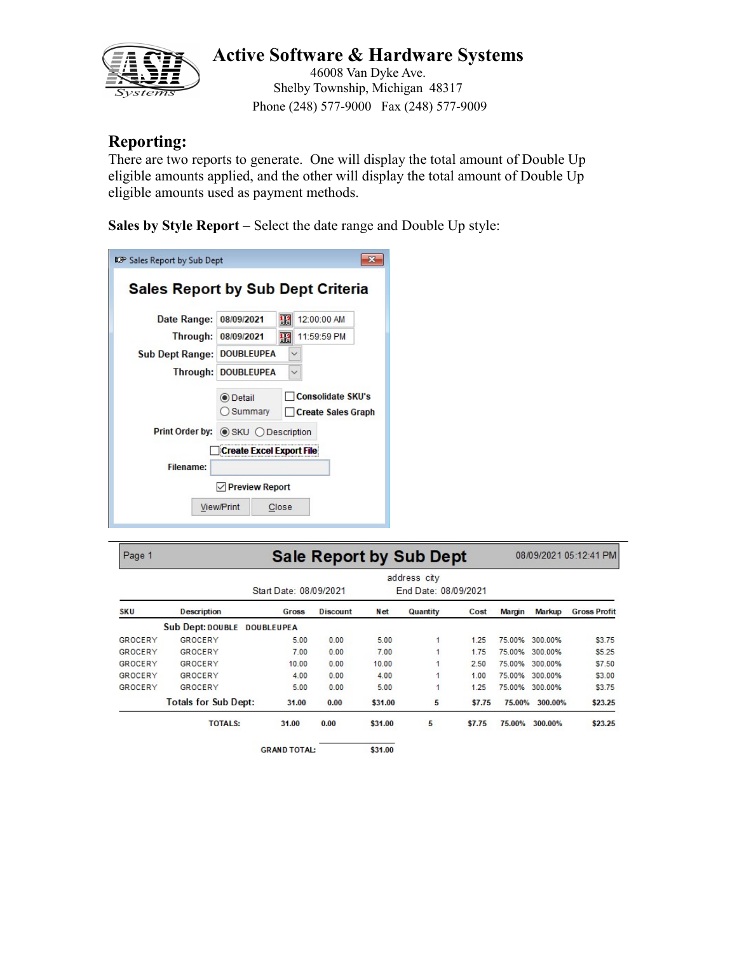

46008 Van Dyke Ave. Shelby Township, Michigan 48317 Phone (248) 577-9000 Fax (248) 577-9009

#### Reporting:

There are two reports to generate. One will display the total amount of Double Up eligible amounts applied, and the other will display the total amount of Double Up eligible amounts used as payment methods.

Sales by Style Report – Select the date range and Double Up style:

| <b>13</b> Sales Report by Sub Dept |                                 |                                                       |
|------------------------------------|---------------------------------|-------------------------------------------------------|
|                                    |                                 | <b>Sales Report by Sub Dept Criteria</b>              |
| Date Range:                        | 08/09/2021                      | 12:00:00 AM<br>42                                     |
| Through:                           | 08/09/2021                      | 11:59:59 PM<br>轁                                      |
| <b>Sub Dept Range:</b>             | <b>DOUBLEUPEA</b>               |                                                       |
|                                    | Through: DOUBLEUPEA             |                                                       |
|                                    | <b>O</b> Detail<br>) Summary    | <b>Consolidate SKU's</b><br><b>Create Sales Graph</b> |
| Print Order by:                    | <b>SKU ODescription</b>         |                                                       |
|                                    | <b>Create Excel Export File</b> |                                                       |
| Filename:                          |                                 |                                                       |
|                                    | $\vee$ Preview Report           |                                                       |
|                                    | <b>View/Print</b>               | Close                                                 |

| Page 1     |                                                                | 08/09/2021 05:12:41 PM |                 |         |          |        |        |         |                     |
|------------|----------------------------------------------------------------|------------------------|-----------------|---------|----------|--------|--------|---------|---------------------|
|            | address city<br>Start Date: 08/09/2021<br>End Date: 08/09/2021 |                        |                 |         |          |        |        |         |                     |
| <b>SKU</b> | <b>Description</b>                                             | Gross                  | <b>Discount</b> | Net     | Quantity | Cost   | Margin | Markup  | <b>Gross Profit</b> |
|            | <b>Sub Dept: DOUBLE</b>                                        | <b>DOUBLEUPEA</b>      |                 |         |          |        |        |         |                     |
| GROCERY    | GROCERY                                                        | 5.00                   | 0.00            | 5.00    | 1        | 1.25   | 75.00% | 300.00% | \$3.75              |
| GROCERY    | GROCERY                                                        | 7.00                   | 0.00            | 7.00    |          | 1.75   | 75.00% | 300.00% | \$5.25              |
| GROCERY    | GROCERY                                                        | 10.00                  | 0.00            | 10.00   |          | 2.50   | 75.00% | 300.00% | \$7.50              |
| GROCERY    | <b>GROCERY</b>                                                 | 4.00                   | 0.00            | 4.00    | 1        | 1.00   | 75.00% | 300.00% | \$3.00              |
| GROCERY    | GROCERY                                                        | 5.00                   | 0.00            | 5.00    | 1        | 1.25   | 75.00% | 300.00% | \$3.75              |
|            | <b>Totals for Sub Dept:</b>                                    | 31.00                  | 0.00            | \$31.00 | 5        | \$7.75 | 75.00% | 300,00% | \$23.25             |
|            | <b>TOTALS:</b>                                                 | 31.00                  | 0.00            | \$31.00 | 5        | \$7.75 | 75.00% | 300.00% | \$23.25             |
|            |                                                                | <b>GRAND TOTAL:</b>    |                 | \$31.00 |          |        |        |         |                     |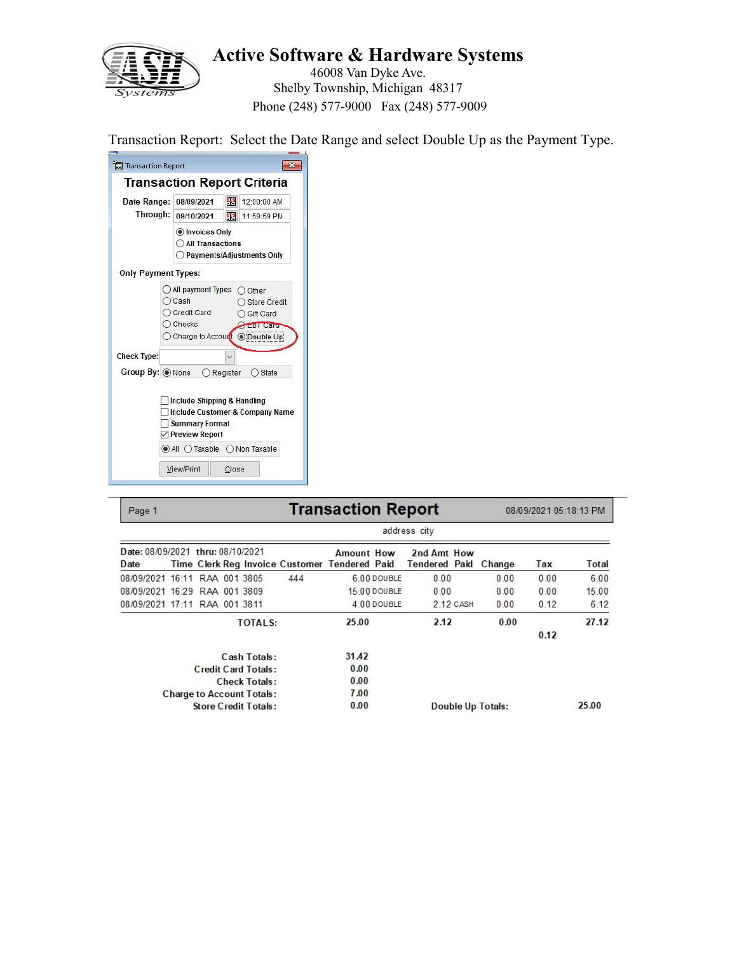

46008 Van Dyke Ave. Shelby Township, Michigan 48317 Phone (248) 577-9000 Fax (248) 577-9009

Transaction Report: Select the Date Range and select Double Up as the Payment Type.

| <b>In Transaction Report</b>                                                                                                                                                           |  |                                                                                                                              |  |            |                  |                                 |  |  |
|----------------------------------------------------------------------------------------------------------------------------------------------------------------------------------------|--|------------------------------------------------------------------------------------------------------------------------------|--|------------|------------------|---------------------------------|--|--|
|                                                                                                                                                                                        |  | <b>Transaction Report Criteria</b>                                                                                           |  |            |                  |                                 |  |  |
| Date Range:                                                                                                                                                                            |  | 08/09/2021                                                                                                                   |  | 13         | 12:00:00 AM      |                                 |  |  |
| Through:                                                                                                                                                                               |  | 08/10/2021                                                                                                                   |  | 聖          | 11:59:59 PM      |                                 |  |  |
|                                                                                                                                                                                        |  | Invoices Only<br><b>O All Transactions</b><br>◯ Payments/Adjustments Only                                                    |  |            |                  |                                 |  |  |
| <b>Only Payment Types:</b>                                                                                                                                                             |  |                                                                                                                              |  |            |                  |                                 |  |  |
|                                                                                                                                                                                        |  | All payment Types<br>Other<br>○ Cash<br>○ Credit Card<br>○ Gift Card<br>$\bigcirc$ Checks<br>◯ Charge to Accourt © Double Up |  |            |                  | Store Credit<br><b>EBI Card</b> |  |  |
| <b>Check Type:</b>                                                                                                                                                                     |  |                                                                                                                              |  |            |                  |                                 |  |  |
| Group By: O None                                                                                                                                                                       |  |                                                                                                                              |  | O Register | $\bigcirc$ State |                                 |  |  |
| Include Shipping & Handling<br><b>Include Customer &amp; Company Name</b><br><b>Summary Format</b><br><b>▽ Preview Report</b><br>$\odot$ All $\bigcirc$ Taxable $\bigcirc$ Non Taxable |  |                                                                                                                              |  |            |                  |                                 |  |  |
|                                                                                                                                                                                        |  | View/Print                                                                                                                   |  | Close      |                  |                                 |  |  |

| Page 1                                    |  |                                  |                                               | <b>Transaction Report</b> |              |                                     |           |                          | 08/09/2021 05:18:13 PM |       |
|-------------------------------------------|--|----------------------------------|-----------------------------------------------|---------------------------|--------------|-------------------------------------|-----------|--------------------------|------------------------|-------|
|                                           |  |                                  |                                               |                           |              | address city                        |           |                          |                        |       |
| Date: 08/09/2021 thru: 08/10/2021<br>Date |  |                                  | Time Clerk Reg Invoice Customer Tendered Paid | <b>Amount How</b>         |              | 2nd Amt How<br><b>Tendered Paid</b> |           | Change                   | Tax                    | Total |
| 08/09/2021 16:11 RAA 001 3805             |  |                                  | 444                                           |                           | 6.00 DOUBLE  | 0.00                                |           | 0.00                     | 0.00                   | 6.00  |
| 08/09/2021 16:29 RAA 001 3809             |  |                                  |                                               |                           | 15 00 DOUBLE | 0.00                                |           | 0.00                     | 0.00                   | 15.00 |
| 08/09/2021 17:11 RAA 001 3811             |  |                                  |                                               |                           | 4 00 DOUBLE  |                                     | 2 12 CASH | 0.00                     | 0.12                   | 6.12  |
|                                           |  | <b>TOTALS:</b>                   |                                               | 25.00                     |              | 2.12                                |           | 0.00                     |                        | 27.12 |
|                                           |  |                                  |                                               |                           |              |                                     |           |                          | 0.12                   |       |
|                                           |  | Cash Totals:                     |                                               | 31.42                     |              |                                     |           |                          |                        |       |
|                                           |  | Credit Card Totals:              |                                               | 0.00                      |              |                                     |           |                          |                        |       |
|                                           |  | <b>Check Totals:</b>             |                                               | 0.00                      |              |                                     |           |                          |                        |       |
|                                           |  | <b>Charge to Account Totals:</b> |                                               | 7.00                      |              |                                     |           |                          |                        |       |
|                                           |  | <b>Store Credit Totals:</b>      |                                               | 0.00                      |              |                                     |           | <b>Double Up Totals:</b> |                        | 25.00 |